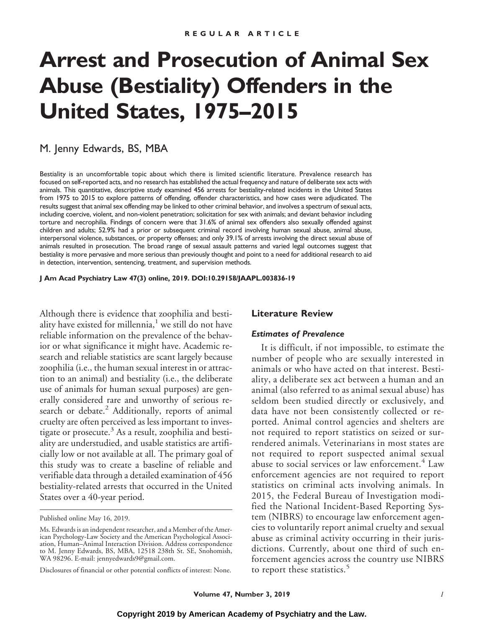# **Arrest and Prosecution of Animal Sex Abuse (Bestiality) Offenders in the United States, 1975–2015**

# M. Jenny Edwards, BS, MBA

Bestiality is an uncomfortable topic about which there is limited scientific literature. Prevalence research has focused on self-reported acts, and no research has established the actual frequency and nature of deliberate sex acts with animals. This quantitative, descriptive study examined 456 arrests for bestiality-related incidents in the United States from 1975 to 2015 to explore patterns of offending, offender characteristics, and how cases were adjudicated. The results suggest that animal sex offending may be linked to other criminal behavior, and involves a spectrum of sexual acts, including coercive, violent, and non-violent penetration; solicitation for sex with animals; and deviant behavior including torture and necrophilia. Findings of concern were that 31.6% of animal sex offenders also sexually offended against children and adults; 52.9% had a prior or subsequent criminal record involving human sexual abuse, animal abuse, interpersonal violence, substances, or property offenses; and only 39.1% of arrests involving the direct sexual abuse of animals resulted in prosecution. The broad range of sexual assault patterns and varied legal outcomes suggest that bestiality is more pervasive and more serious than previously thought and point to a need for additional research to aid in detection, intervention, sentencing, treatment, and supervision methods.

**J Am Acad Psychiatry Law 47(3) online, 2019. DOI:10.29158/JAAPL.003836-19**

Although there is evidence that zoophilia and bestiality have existed for millennia, $<sup>1</sup>$  we still do not have</sup> reliable information on the prevalence of the behavior or what significance it might have. Academic research and reliable statistics are scant largely because zoophilia (i.e., the human sexual interest in or attraction to an animal) and bestiality (i.e., the deliberate use of animals for human sexual purposes) are generally considered rare and unworthy of serious research or debate.<sup>2</sup> Additionally, reports of animal cruelty are often perceived as less important to investigate or prosecute.<sup>3</sup> As a result, zoophilia and bestiality are understudied, and usable statistics are artificially low or not available at all. The primary goal of this study was to create a baseline of reliable and verifiable data through a detailed examination of 456 bestiality-related arrests that occurred in the United States over a 40-year period.

## **Literature Review**

#### *Estimates of Prevalence*

It is difficult, if not impossible, to estimate the number of people who are sexually interested in animals or who have acted on that interest. Bestiality, a deliberate sex act between a human and an animal (also referred to as animal sexual abuse) has seldom been studied directly or exclusively, and data have not been consistently collected or reported. Animal control agencies and shelters are not required to report statistics on seized or surrendered animals. Veterinarians in most states are not required to report suspected animal sexual abuse to social services or law enforcement.<sup>4</sup> Law enforcement agencies are not required to report statistics on criminal acts involving animals. In 2015, the Federal Bureau of Investigation modified the National Incident-Based Reporting System (NIBRS) to encourage law enforcement agencies to voluntarily report animal cruelty and sexual abuse as criminal activity occurring in their jurisdictions. Currently, about one third of such enforcement agencies across the country use NIBRS to report these statistics.<sup>5</sup>

Published online May 16, 2019.

Ms. Edwards is an independent researcher, and a Member of the American Psychology-Law Society and the American Psychological Association, Human–Animal Interaction Division. Address correspondence to M. Jenny Edwards, BS, MBA, 12518 238th St. SE, Snohomish, WA 98296. E-mail: jennyedwards9@gmail.com.

Disclosures of financial or other potential conflicts of interest: None.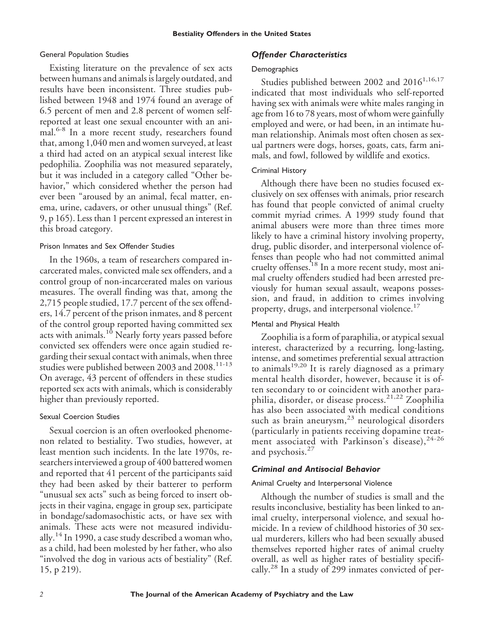## General Population Studies

Existing literature on the prevalence of sex acts between humans and animals is largely outdated, and results have been inconsistent. Three studies published between 1948 and 1974 found an average of 6.5 percent of men and 2.8 percent of women selfreported at least one sexual encounter with an animal.<sup>6-8</sup> In a more recent study, researchers found that, among 1,040 men and women surveyed, at least a third had acted on an atypical sexual interest like pedophilia. Zoophilia was not measured separately, but it was included in a category called "Other behavior," which considered whether the person had ever been "aroused by an animal, fecal matter, enema, urine, cadavers, or other unusual things" (Ref. 9, p 165). Less than 1 percent expressed an interest in this broad category.

## Prison Inmates and Sex Offender Studies

In the 1960s, a team of researchers compared incarcerated males, convicted male sex offenders, and a control group of non-incarcerated males on various measures. The overall finding was that, among the 2,715 people studied, 17.7 percent of the sex offenders, 14.7 percent of the prison inmates, and 8 percent of the control group reported having committed sex acts with animals.<sup>10</sup> Nearly forty years passed before convicted sex offenders were once again studied regarding their sexual contact with animals, when three studies were published between 2003 and 2008.<sup>11-13</sup> On average, 43 percent of offenders in these studies reported sex acts with animals, which is considerably higher than previously reported.

# Sexual Coercion Studies

Sexual coercion is an often overlooked phenomenon related to bestiality. Two studies, however, at least mention such incidents. In the late 1970s, researchers interviewed a group of 400 battered women and reported that 41 percent of the participants said they had been asked by their batterer to perform "unusual sex acts" such as being forced to insert objects in their vagina, engage in group sex, participate in bondage/sadomasochistic acts, or have sex with animals. These acts were not measured individually.<sup>14</sup> In 1990, a case study described a woman who, as a child, had been molested by her father, who also "involved the dog in various acts of bestiality" (Ref. 15, p 219).

# *Offender Characteristics*

## **Demographics**

Studies published between 2002 and  $2016^{1,16,17}$ indicated that most individuals who self-reported having sex with animals were white males ranging in age from 16 to 78 years, most of whom were gainfully employed and were, or had been, in an intimate human relationship. Animals most often chosen as sexual partners were dogs, horses, goats, cats, farm animals, and fowl, followed by wildlife and exotics.

# Criminal History

Although there have been no studies focused exclusively on sex offenses with animals, prior research has found that people convicted of animal cruelty commit myriad crimes. A 1999 study found that animal abusers were more than three times more likely to have a criminal history involving property, drug, public disorder, and interpersonal violence offenses than people who had not committed animal cruelty offenses.<sup>18</sup> In a more recent study, most animal cruelty offenders studied had been arrested previously for human sexual assault, weapons possession, and fraud, in addition to crimes involving property, drugs, and interpersonal violence.<sup>17</sup>

# Mental and Physical Health

Zoophilia is a form of paraphilia, or atypical sexual interest, characterized by a recurring, long-lasting, intense, and sometimes preferential sexual attraction to animals $19,20$  It is rarely diagnosed as a primary mental health disorder, however, because it is often secondary to or coincident with another paraphilia, disorder, or disease process.21,22 Zoophilia has also been associated with medical conditions such as brain aneurysm, $^{23}$  neurological disorders (particularly in patients receiving dopamine treatment associated with Parkinson's disease), 24-26 and psychosis. $27$ 

# *Criminal and Antisocial Behavior*

# Animal Cruelty and Interpersonal Violence

Although the number of studies is small and the results inconclusive, bestiality has been linked to animal cruelty, interpersonal violence, and sexual homicide. In a review of childhood histories of 30 sexual murderers, killers who had been sexually abused themselves reported higher rates of animal cruelty overall, as well as higher rates of bestiality specifically.<sup>28</sup> In a study of 299 inmates convicted of per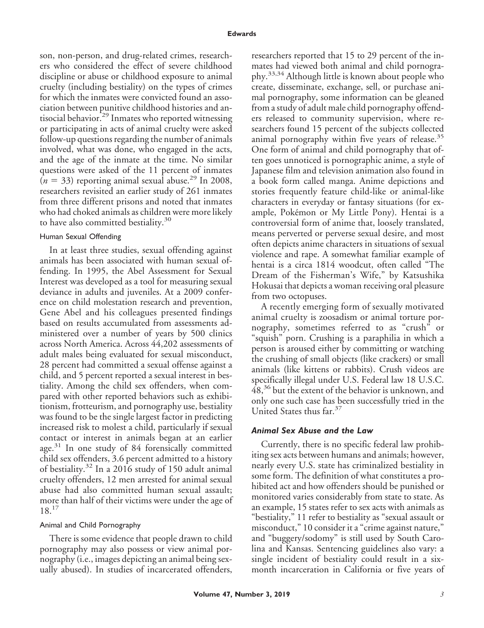son, non-person, and drug-related crimes, researchers who considered the effect of severe childhood discipline or abuse or childhood exposure to animal cruelty (including bestiality) on the types of crimes for which the inmates were convicted found an association between punitive childhood histories and antisocial behavior.<sup>29</sup> Inmates who reported witnessing or participating in acts of animal cruelty were asked follow-up questions regarding the number of animals involved, what was done, who engaged in the acts, and the age of the inmate at the time. No similar questions were asked of the 11 percent of inmates  $(n = 33)$  reporting animal sexual abuse.<sup>29</sup> In 2008, researchers revisited an earlier study of 261 inmates from three different prisons and noted that inmates who had choked animals as children were more likely to have also committed bestiality.<sup>30</sup>

## Human Sexual Offending

In at least three studies, sexual offending against animals has been associated with human sexual offending. In 1995, the Abel Assessment for Sexual Interest was developed as a tool for measuring sexual deviance in adults and juveniles. At a 2009 conference on child molestation research and prevention, Gene Abel and his colleagues presented findings based on results accumulated from assessments administered over a number of years by 500 clinics across North America. Across 44,202 assessments of adult males being evaluated for sexual misconduct, 28 percent had committed a sexual offense against a child, and 5 percent reported a sexual interest in bestiality. Among the child sex offenders, when compared with other reported behaviors such as exhibitionism, frotteurism, and pornography use, bestiality was found to be the single largest factor in predicting increased risk to molest a child, particularly if sexual contact or interest in animals began at an earlier age.<sup>31</sup> In one study of 84 forensically committed child sex offenders, 3.6 percent admitted to a history of bestiality.<sup>32</sup> In a 2016 study of 150 adult animal cruelty offenders, 12 men arrested for animal sexual abuse had also committed human sexual assault; more than half of their victims were under the age of 18.<sup>17</sup>

#### Animal and Child Pornography

There is some evidence that people drawn to child pornography may also possess or view animal pornography (i.e., images depicting an animal being sexually abused). In studies of incarcerated offenders, researchers reported that 15 to 29 percent of the inmates had viewed both animal and child pornography.33,34 Although little is known about people who create, disseminate, exchange, sell, or purchase animal pornography, some information can be gleaned from a study of adult male child pornography offenders released to community supervision, where researchers found 15 percent of the subjects collected animal pornography within five years of release.<sup>35</sup> One form of animal and child pornography that often goes unnoticed is pornographic anime, a style of Japanese film and television animation also found in a book form called manga. Anime depictions and stories frequently feature child-like or animal-like characters in everyday or fantasy situations (for example, Pokémon or My Little Pony). Hentai is a controversial form of anime that, loosely translated, means perverted or perverse sexual desire, and most often depicts anime characters in situations of sexual violence and rape. A somewhat familiar example of hentai is a circa 1814 woodcut, often called "The Dream of the Fisherman's Wife," by Katsushika Hokusai that depicts a woman receiving oral pleasure from two octopuses.

A recently emerging form of sexually motivated animal cruelty is zoosadism or animal torture pornography, sometimes referred to as "crush" or "squish" porn. Crushing is a paraphilia in which a person is aroused either by committing or watching the crushing of small objects (like crackers) or small animals (like kittens or rabbits). Crush videos are specifically illegal under U.S. Federal law 18 U.S.C. 48,<sup>36</sup> but the extent of the behavior is unknown, and only one such case has been successfully tried in the United States thus far.<sup>37</sup>

## *Animal Sex Abuse and the Law*

Currently, there is no specific federal law prohibiting sex acts between humans and animals; however, nearly every U.S. state has criminalized bestiality in some form. The definition of what constitutes a prohibited act and how offenders should be punished or monitored varies considerably from state to state. As an example, 15 states refer to sex acts with animals as "bestiality," 11 refer to bestiality as "sexual assault or misconduct," 10 consider it a "crime against nature," and "buggery/sodomy" is still used by South Carolina and Kansas. Sentencing guidelines also vary: a single incident of bestiality could result in a sixmonth incarceration in California or five years of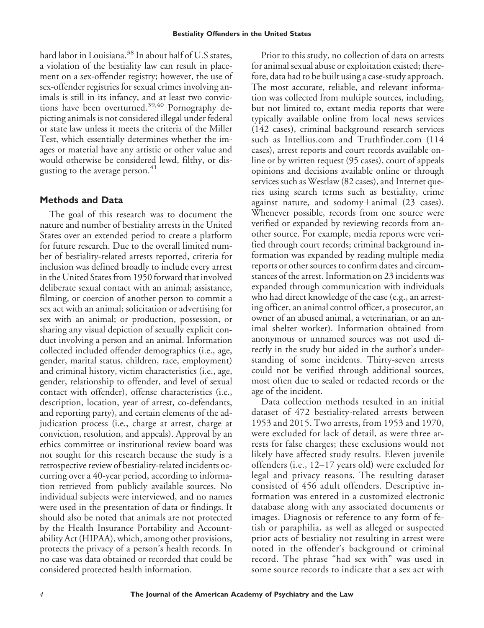hard labor in Louisiana.<sup>38</sup> In about half of U.S states, a violation of the bestiality law can result in placement on a sex-offender registry; however, the use of sex-offender registries for sexual crimes involving animals is still in its infancy, and at least two convictions have been overturned.<sup>39,40</sup> Pornography depicting animals is not considered illegal under federal or state law unless it meets the criteria of the Miller Test, which essentially determines whether the images or material have any artistic or other value and would otherwise be considered lewd, filthy, or disgusting to the average person.<sup>41</sup>

# **Methods and Data**

The goal of this research was to document the nature and number of bestiality arrests in the United States over an extended period to create a platform for future research. Due to the overall limited number of bestiality-related arrests reported, criteria for inclusion was defined broadly to include every arrest in the United States from 1950 forward that involved deliberate sexual contact with an animal; assistance, filming, or coercion of another person to commit a sex act with an animal; solicitation or advertising for sex with an animal; or production, possession, or sharing any visual depiction of sexually explicit conduct involving a person and an animal. Information collected included offender demographics (i.e., age, gender, marital status, children, race, employment) and criminal history, victim characteristics (i.e., age, gender, relationship to offender, and level of sexual contact with offender), offense characteristics (i.e., description, location, year of arrest, co-defendants, and reporting party), and certain elements of the adjudication process (i.e., charge at arrest, charge at conviction, resolution, and appeals). Approval by an ethics committee or institutional review board was not sought for this research because the study is a retrospective review of bestiality-related incidents occurring over a 40-year period, according to information retrieved from publicly available sources. No individual subjects were interviewed, and no names were used in the presentation of data or findings. It should also be noted that animals are not protected by the Health Insurance Portability and Accountability Act (HIPAA), which, among other provisions, protects the privacy of a person's health records. In no case was data obtained or recorded that could be considered protected health information.

Prior to this study, no collection of data on arrests for animal sexual abuse or exploitation existed; therefore, data had to be built using a case-study approach. The most accurate, reliable, and relevant information was collected from multiple sources, including, but not limited to, extant media reports that were typically available online from local news services (142 cases), criminal background research services such as Intellius.com and Truthfinder.com (114 cases), arrest reports and court records available online or by written request (95 cases), court of appeals opinions and decisions available online or through services such as Westlaw (82 cases), and Internet queries using search terms such as bestiality, crime against nature, and sodomy $+$ animal (23 cases). Whenever possible, records from one source were verified or expanded by reviewing records from another source. For example, media reports were verified through court records; criminal background information was expanded by reading multiple media reports or other sources to confirm dates and circumstances of the arrest. Information on 23 incidents was expanded through communication with individuals who had direct knowledge of the case (e.g., an arresting officer, an animal control officer, a prosecutor, an owner of an abused animal, a veterinarian, or an animal shelter worker). Information obtained from anonymous or unnamed sources was not used directly in the study but aided in the author's understanding of some incidents. Thirty-seven arrests could not be verified through additional sources, most often due to sealed or redacted records or the age of the incident.

Data collection methods resulted in an initial dataset of 472 bestiality-related arrests between 1953 and 2015. Two arrests, from 1953 and 1970, were excluded for lack of detail, as were three arrests for false charges; these exclusions would not likely have affected study results. Eleven juvenile offenders (i.e., 12–17 years old) were excluded for legal and privacy reasons. The resulting dataset consisted of 456 adult offenders. Descriptive information was entered in a customized electronic database along with any associated documents or images. Diagnosis or reference to any form of fetish or paraphilia, as well as alleged or suspected prior acts of bestiality not resulting in arrest were noted in the offender's background or criminal record. The phrase "had sex with" was used in some source records to indicate that a sex act with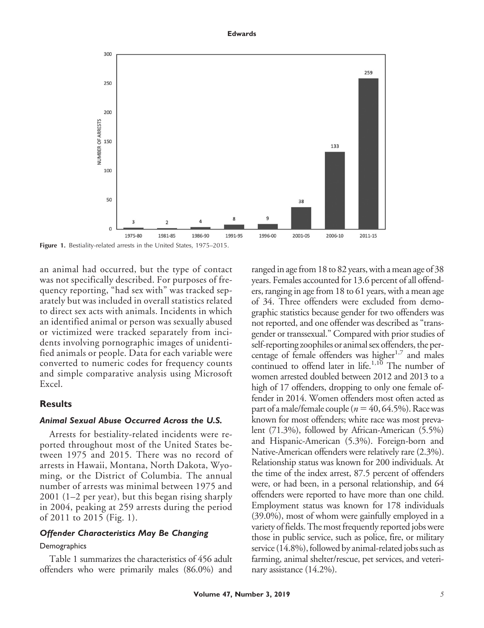



**Figure 1.** Bestiality-related arrests in the United States, 1975–2015.

an animal had occurred, but the type of contact was not specifically described. For purposes of frequency reporting, "had sex with" was tracked separately but was included in overall statistics related to direct sex acts with animals. Incidents in which an identified animal or person was sexually abused or victimized were tracked separately from incidents involving pornographic images of unidentified animals or people. Data for each variable were converted to numeric codes for frequency counts and simple comparative analysis using Microsoft Excel.

## **Results**

## *Animal Sexual Abuse Occurred Across the U.S.*

Arrests for bestiality-related incidents were reported throughout most of the United States between 1975 and 2015. There was no record of arrests in Hawaii, Montana, North Dakota, Wyoming, or the District of Columbia. The annual number of arrests was minimal between 1975 and 2001 (1–2 per year), but this began rising sharply in 2004, peaking at 259 arrests during the period of 2011 to 2015 (Fig. 1).

## *Offender Characteristics May Be Changing*

#### **Demographics**

Table 1 summarizes the characteristics of 456 adult offenders who were primarily males (86.0%) and

ranged in age from 18 to 82 years, with a mean age of 38 years. Females accounted for 13.6 percent of all offenders, ranging in age from 18 to 61 years, with a mean age of 34. Three offenders were excluded from demographic statistics because gender for two offenders was not reported, and one offender was described as "transgender or transsexual." Compared with prior studies of self-reporting zoophiles or animal sex offenders, the percentage of female offenders was higher $1.7$  and males continued to offend later in life.<sup>1,10</sup> The number of women arrested doubled between 2012 and 2013 to a high of 17 offenders, dropping to only one female offender in 2014. Women offenders most often acted as part of a male/female couple ( $n = 40, 64.5\%$ ). Race was known for most offenders; white race was most prevalent (71.3%), followed by African-American (5.5%) and Hispanic-American (5.3%). Foreign-born and Native-American offenders were relatively rare (2.3%). Relationship status was known for 200 individuals. At the time of the index arrest, 87.5 percent of offenders were, or had been, in a personal relationship, and 64 offenders were reported to have more than one child. Employment status was known for 178 individuals (39.0%), most of whom were gainfully employed in a variety of fields. The most frequently reported jobs were those in public service, such as police, fire, or military service (14.8%), followed by animal-related jobs such as farming, animal shelter/rescue, pet services, and veterinary assistance (14.2%).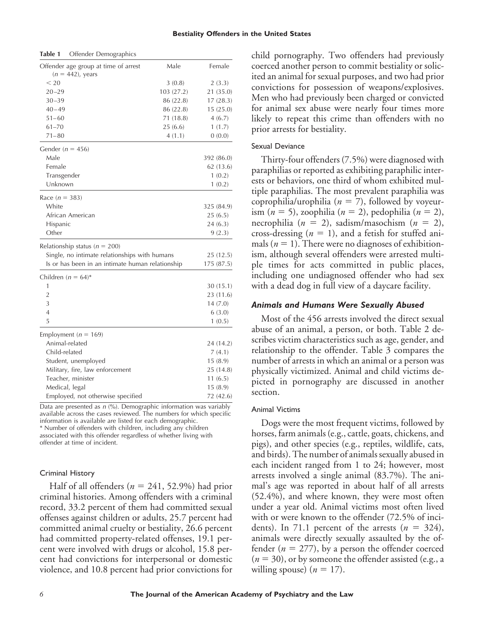| Offender age group at time of arrest<br>$(n = 442)$ , years | Male       | Female     |
|-------------------------------------------------------------|------------|------------|
| $<$ 20                                                      | 3(0.8)     | 2(3.3)     |
| $20 - 29$                                                   | 103 (27.2) | 21 (35.0)  |
| $30 - 39$                                                   | 86 (22.8)  | 17(28.3)   |
| $40 - 49$                                                   | 86 (22.8)  | 15(25.0)   |
| $51 - 60$                                                   | 71(18.8)   | 4(6.7)     |
| $61 - 70$                                                   | 25(6.6)    | 1(1.7)     |
| $71 - 80$                                                   | 4(1.1)     | 0(0.0)     |
| Gender ( $n = 456$ )                                        |            |            |
| Male                                                        |            | 392 (86.0) |
| Female                                                      |            | 62 (13.6)  |
| Transgender                                                 |            | 1(0.2)     |
| Unknown                                                     |            | 1(0.2)     |
| Race $(n = 383)$                                            |            |            |
| White                                                       |            | 325 (84.9) |
| African American                                            |            | 25 (6.5)   |
| Hispanic                                                    |            | 24(6.3)    |
| Other                                                       |            | 9(2.3)     |
| Relationship status ( $n = 200$ )                           |            |            |
| Single, no intimate relationships with humans               |            | 25 (12.5)  |
| Is or has been in an intimate human relationship            |            | 175 (87.5) |
| Children ( $n = 64$ )*                                      |            |            |
| 1                                                           |            | 30(15.1)   |
| $\overline{2}$                                              |            | 23 (11.6)  |
| 3                                                           |            | 14(7.0)    |
| $\overline{4}$                                              |            | 6(3.0)     |
| 5                                                           |            | 1(0.5)     |
| Employment ( $n = 169$ )                                    |            |            |
| Animal-related                                              |            | 24 (14.2)  |
| Child-related                                               |            | 7(4.1)     |
| Student, unemployed                                         |            | 15(8.9)    |
| Military, fire, law enforcement                             |            | 25 (14.8)  |
| Teacher, minister                                           |            | 11(6.5)    |
| Medical, legal                                              |            | 15(8.9)    |
| Employed, not otherwise specified                           |            | 72 (42.6)  |

**Table 1** Offender Demographics

Data are presented as *n* (%). Demographic information was variably available across the cases reviewed. The numbers for which specific information is available are listed for each demographic. \* Number of offenders with children, including any children associated with this offender regardless of whether living with

Criminal History

offender at time of incident.

Half of all offenders  $(n = 241, 52.9%)$  had prior criminal histories. Among offenders with a criminal record, 33.2 percent of them had committed sexual offenses against children or adults, 25.7 percent had committed animal cruelty or bestiality, 26.6 percent had committed property-related offenses, 19.1 percent were involved with drugs or alcohol, 15.8 percent had convictions for interpersonal or domestic violence, and 10.8 percent had prior convictions for

child pornography. Two offenders had previously coerced another person to commit bestiality or solicited an animal for sexual purposes, and two had prior convictions for possession of weapons/explosives. Men who had previously been charged or convicted for animal sex abuse were nearly four times more likely to repeat this crime than offenders with no prior arrests for bestiality.

#### Sexual Deviance

Thirty-four offenders (7.5%) were diagnosed with paraphilias or reported as exhibiting paraphilic interests or behaviors, one third of whom exhibited multiple paraphilias. The most prevalent paraphilia was coprophilia/urophilia ( $n = 7$ ), followed by voyeurism  $(n = 5)$ , zoophilia  $(n = 2)$ , pedophilia  $(n = 2)$ , necrophilia (*n* - 2), sadism/masochism (*n* - 2), cross-dressing  $(n = 1)$ , and a fetish for stuffed animals ( $n = 1$ ). There were no diagnoses of exhibitionism, although several offenders were arrested multiple times for acts committed in public places, including one undiagnosed offender who had sex with a dead dog in full view of a daycare facility.

## *Animals and Humans Were Sexually Abused*

Most of the 456 arrests involved the direct sexual abuse of an animal, a person, or both. Table 2 describes victim characteristics such as age, gender, and relationship to the offender. Table 3 compares the number of arrests in which an animal or a person was physically victimized. Animal and child victims depicted in pornography are discussed in another section.

#### Animal Victims

Dogs were the most frequent victims, followed by horses, farm animals (e.g., cattle, goats, chickens, and pigs), and other species (e.g., reptiles, wildlife, cats, and birds). The number of animals sexually abused in each incident ranged from 1 to 24; however, most arrests involved a single animal (83.7%). The animal's age was reported in about half of all arrests (52.4%), and where known, they were most often under a year old. Animal victims most often lived with or were known to the offender (72.5% of incidents). In 71.1 percent of the arrests  $(n = 324)$ , animals were directly sexually assaulted by the offender ( $n = 277$ ), by a person the offender coerced  $(n = 30)$ , or by someone the offender assisted (e.g., a willing spouse)  $(n = 17)$ .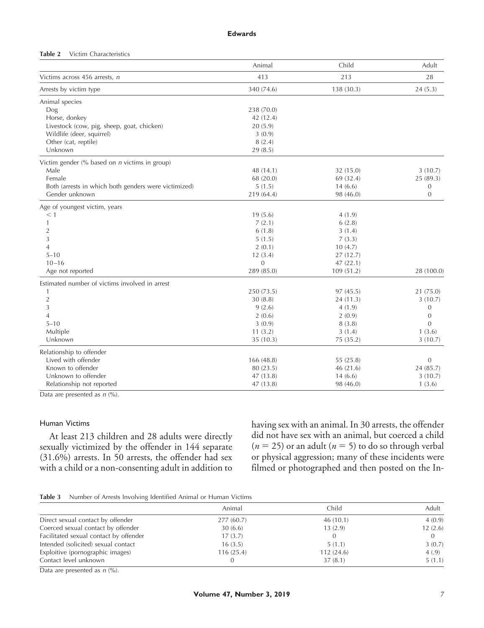#### **Edwards**

#### **Table 2** Victim Characteristics

|                                                                 | Animal       | Child      | Adult            |
|-----------------------------------------------------------------|--------------|------------|------------------|
| Victims across 456 arrests, n                                   | 413          | 213        | 28               |
| Arrests by victim type                                          | 340 (74.6)   | 138 (30.3) | 24(5.3)          |
| Animal species                                                  |              |            |                  |
| Dog                                                             | 238 (70.0)   |            |                  |
| Horse, donkey                                                   | 42 (12.4)    |            |                  |
| Livestock (cow, pig, sheep, goat, chicken)                      | 20(5.9)      |            |                  |
| Wildlife (deer, squirrel)                                       | 3(0.9)       |            |                  |
| Other (cat, reptile)                                            | 8(2.4)       |            |                  |
| Unknown                                                         | 29(8.5)      |            |                  |
| Victim gender $\frac{6}{6}$ based on <i>n</i> victims in group) |              |            |                  |
| Male                                                            | 48 (14.1)    | 32 (15.0)  | 3(10.7)          |
| Female                                                          | 68 (20.0)    | 69 (32.4)  | 25 (89.3)        |
| Both (arrests in which both genders were victimized)            | 5(1.5)       | 14(6.6)    | $\mathbf{0}$     |
| Gender unknown                                                  | 219 (64.4)   | 98 (46.0)  | $\mathbf{0}$     |
| Age of youngest victim, years                                   |              |            |                  |
| $\leq 1$                                                        | 19(5.6)      | 4(1.9)     |                  |
| 1                                                               | 7(2.1)       | 6(2.8)     |                  |
| $\overline{2}$                                                  | 6(1.8)       | 3(1.4)     |                  |
| 3                                                               | 5(1.5)       | 7(3.3)     |                  |
| $\overline{4}$                                                  | 2(0.1)       | 10(4.7)    |                  |
| $5 - 10$                                                        | 12(3.4)      | 27(12.7)   |                  |
| $10 - 16$                                                       | $\mathbf{0}$ | 47(22.1)   |                  |
| Age not reported                                                | 289 (85.0)   | 109(51.2)  | 28 (100.0)       |
| Estimated number of victims involved in arrest                  |              |            |                  |
| 1                                                               | 250 (73.5)   | 97(45.5)   | 21 (75.0)        |
| $\overline{2}$                                                  | 30(8.8)      | 24(11.3)   | 3(10.7)          |
| 3                                                               | 9(2.6)       | 4(1.9)     | $\mathbf{0}$     |
| $\overline{4}$                                                  | 2(0.6)       | 2(0.9)     | $\mathbf{0}$     |
| $5 - 10$                                                        | 3(0.9)       | 8(3.8)     | $\overline{0}$   |
| Multiple                                                        | 11(3.2)      | 3(1.4)     | 1(3.6)           |
| Unknown                                                         | 35(10.3)     | 75 (35.2)  | 3(10.7)          |
| Relationship to offender                                        |              |            |                  |
| Lived with offender                                             | 166(48.8)    | 55 (25.8)  | $\boldsymbol{0}$ |
| Known to offender                                               | 80 (23.5)    | 46(21.6)   | 24 (85.7)        |
| Unknown to offender                                             | 47 (13.8)    | 14(6.6)    | 3(10.7)          |
| Relationship not reported                                       | 47(13.8)     | 98 (46.0)  | 1(3.6)           |

Data are presented as  $n$  (%).

## Human Victims

At least 213 children and 28 adults were directly sexually victimized by the offender in 144 separate (31.6%) arrests. In 50 arrests, the offender had sex with a child or a non-consenting adult in addition to

having sex with an animal. In 30 arrests, the offender did not have sex with an animal, but coerced a child  $(n = 25)$  or an adult  $(n = 5)$  to do so through verbal or physical aggression; many of these incidents were filmed or photographed and then posted on the In-

|                                        | Animal    | Child     | Adult   |
|----------------------------------------|-----------|-----------|---------|
| Direct sexual contact by offender      | 277(60.7) | 46(10.1)  | 4(0.9)  |
| Coerced sexual contact by offender     | 30(6.6)   | 13(2.9)   | 12(2.6) |
| Facilitated sexual contact by offender | 17(3.7)   |           |         |
| Intended (solicited) sexual contact    | 16(3.5)   | 5(1.1)    | 3(0.7)  |
| Exploitive (pornographic images)       | 116(25.4) | 112(24.6) | 4(.9)   |
| Contact level unknown                  | 0         | 37(8.1)   | 5(1.1)  |

Data are presented as  $n$  (%).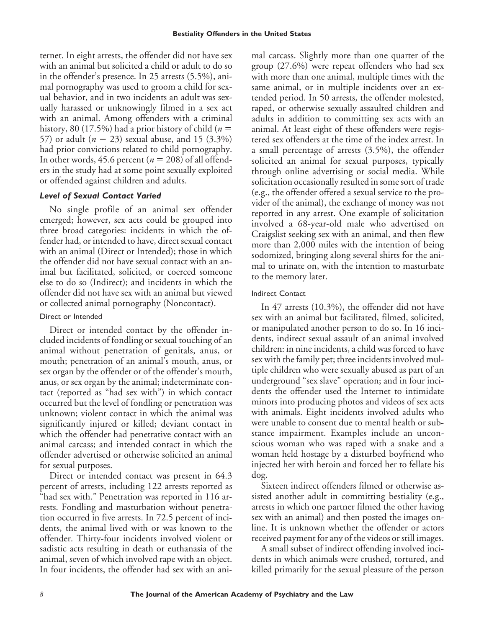ternet. In eight arrests, the offender did not have sex with an animal but solicited a child or adult to do so in the offender's presence. In 25 arrests (5.5%), animal pornography was used to groom a child for sexual behavior, and in two incidents an adult was sexually harassed or unknowingly filmed in a sex act with an animal. Among offenders with a criminal history, 80 (17.5%) had a prior history of child ( $n =$ 57) or adult  $(n = 23)$  sexual abuse, and 15  $(3.3\%)$ had prior convictions related to child pornography. In other words,  $45.6$  percent ( $n = 208$ ) of all offenders in the study had at some point sexually exploited or offended against children and adults.

## *Level of Sexual Contact Varied*

No single profile of an animal sex offender emerged; however, sex acts could be grouped into three broad categories: incidents in which the offender had, or intended to have, direct sexual contact with an animal (Direct or Intended); those in which the offender did not have sexual contact with an animal but facilitated, solicited, or coerced someone else to do so (Indirect); and incidents in which the offender did not have sex with an animal but viewed or collected animal pornography (Noncontact).

## Direct or Intended

Direct or intended contact by the offender included incidents of fondling or sexual touching of an animal without penetration of genitals, anus, or mouth; penetration of an animal's mouth, anus, or sex organ by the offender or of the offender's mouth, anus, or sex organ by the animal; indeterminate contact (reported as "had sex with") in which contact occurred but the level of fondling or penetration was unknown; violent contact in which the animal was significantly injured or killed; deviant contact in which the offender had penetrative contact with an animal carcass; and intended contact in which the offender advertised or otherwise solicited an animal for sexual purposes.

Direct or intended contact was present in 64.3 percent of arrests, including 122 arrests reported as "had sex with." Penetration was reported in 116 arrests. Fondling and masturbation without penetration occurred in five arrests. In 72.5 percent of incidents, the animal lived with or was known to the offender. Thirty-four incidents involved violent or sadistic acts resulting in death or euthanasia of the animal, seven of which involved rape with an object. In four incidents, the offender had sex with an animal carcass. Slightly more than one quarter of the group (27.6%) were repeat offenders who had sex with more than one animal, multiple times with the same animal, or in multiple incidents over an extended period. In 50 arrests, the offender molested, raped, or otherwise sexually assaulted children and adults in addition to committing sex acts with an animal. At least eight of these offenders were registered sex offenders at the time of the index arrest. In a small percentage of arrests (3.5%), the offender solicited an animal for sexual purposes, typically through online advertising or social media. While solicitation occasionally resulted in some sort of trade (e.g., the offender offered a sexual service to the provider of the animal), the exchange of money was not reported in any arrest. One example of solicitation involved a 68-year-old male who advertised on Craigslist seeking sex with an animal, and then flew more than 2,000 miles with the intention of being sodomized, bringing along several shirts for the animal to urinate on, with the intention to masturbate to the memory later.

## Indirect Contact

In 47 arrests (10.3%), the offender did not have sex with an animal but facilitated, filmed, solicited, or manipulated another person to do so. In 16 incidents, indirect sexual assault of an animal involved children: in nine incidents, a child was forced to have sex with the family pet; three incidents involved multiple children who were sexually abused as part of an underground "sex slave" operation; and in four incidents the offender used the Internet to intimidate minors into producing photos and videos of sex acts with animals. Eight incidents involved adults who were unable to consent due to mental health or substance impairment. Examples include an unconscious woman who was raped with a snake and a woman held hostage by a disturbed boyfriend who injected her with heroin and forced her to fellate his dog.

Sixteen indirect offenders filmed or otherwise assisted another adult in committing bestiality (e.g., arrests in which one partner filmed the other having sex with an animal) and then posted the images online. It is unknown whether the offender or actors received payment for any of the videos or still images.

A small subset of indirect offending involved incidents in which animals were crushed, tortured, and killed primarily for the sexual pleasure of the person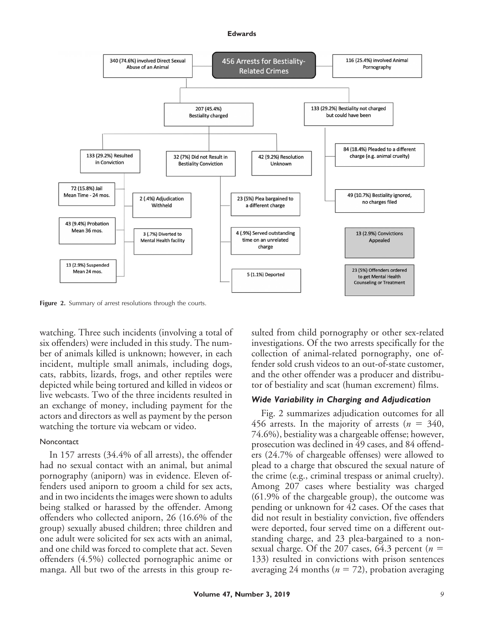#### **Edwards**



Figure 2. Summary of arrest resolutions through the courts.

watching. Three such incidents (involving a total of six offenders) were included in this study. The number of animals killed is unknown; however, in each incident, multiple small animals, including dogs, cats, rabbits, lizards, frogs, and other reptiles were depicted while being tortured and killed in videos or live webcasts. Two of the three incidents resulted in an exchange of money, including payment for the actors and directors as well as payment by the person watching the torture via webcam or video.

#### **Noncontact**

In 157 arrests (34.4% of all arrests), the offender had no sexual contact with an animal, but animal pornography (aniporn) was in evidence. Eleven offenders used aniporn to groom a child for sex acts, and in two incidents the images were shown to adults being stalked or harassed by the offender. Among offenders who collected aniporn, 26 (16.6% of the group) sexually abused children; three children and one adult were solicited for sex acts with an animal, and one child was forced to complete that act. Seven offenders (4.5%) collected pornographic anime or manga. All but two of the arrests in this group resulted from child pornography or other sex-related investigations. Of the two arrests specifically for the collection of animal-related pornography, one offender sold crush videos to an out-of-state customer, and the other offender was a producer and distributor of bestiality and scat (human excrement) films.

## *Wide Variability in Charging and Adjudication*

Fig. 2 summarizes adjudication outcomes for all 456 arrests. In the majority of arrests  $(n = 340,$ 74.6%), bestiality was a chargeable offense; however, prosecution was declined in 49 cases, and 84 offenders (24.7% of chargeable offenses) were allowed to plead to a charge that obscured the sexual nature of the crime (e.g., criminal trespass or animal cruelty). Among 207 cases where bestiality was charged (61.9% of the chargeable group), the outcome was pending or unknown for 42 cases. Of the cases that did not result in bestiality conviction, five offenders were deported, four served time on a different outstanding charge, and 23 plea-bargained to a nonsexual charge. Of the 207 cases, 64.3 percent ( $n =$ 133) resulted in convictions with prison sentences averaging 24 months ( $n = 72$ ), probation averaging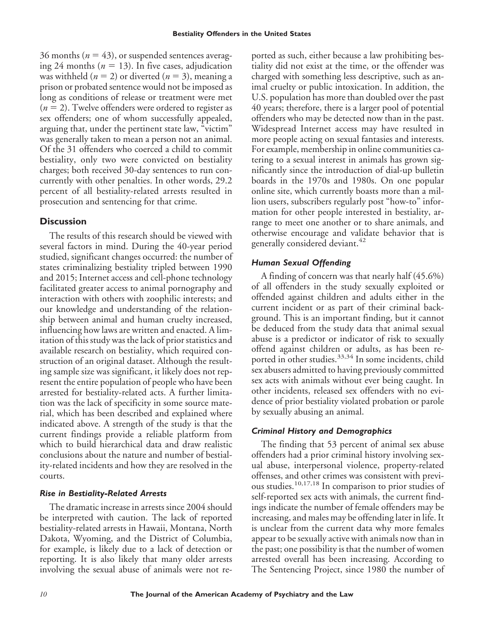36 months ( $n = 43$ ), or suspended sentences averaging 24 months ( $n = 13$ ). In five cases, adjudication was withheld ( $n = 2$ ) or diverted ( $n = 3$ ), meaning a prison or probated sentence would not be imposed as long as conditions of release or treatment were met  $(n = 2)$ . Twelve offenders were ordered to register as sex offenders; one of whom successfully appealed, arguing that, under the pertinent state law, "victim" was generally taken to mean a person not an animal. Of the 31 offenders who coerced a child to commit bestiality, only two were convicted on bestiality charges; both received 30-day sentences to run concurrently with other penalties. In other words, 29.2 percent of all bestiality-related arrests resulted in prosecution and sentencing for that crime.

# **Discussion**

The results of this research should be viewed with several factors in mind. During the 40-year period studied, significant changes occurred: the number of states criminalizing bestiality tripled between 1990 and 2015; Internet access and cell-phone technology facilitated greater access to animal pornography and interaction with others with zoophilic interests; and our knowledge and understanding of the relationship between animal and human cruelty increased, influencing how laws are written and enacted. A limitation of this study was the lack of prior statistics and available research on bestiality, which required construction of an original dataset. Although the resulting sample size was significant, it likely does not represent the entire population of people who have been arrested for bestiality-related acts. A further limitation was the lack of specificity in some source material, which has been described and explained where indicated above. A strength of the study is that the current findings provide a reliable platform from which to build hierarchical data and draw realistic conclusions about the nature and number of bestiality-related incidents and how they are resolved in the courts.

# *Rise in Bestiality-Related Arrests*

The dramatic increase in arrests since 2004 should be interpreted with caution. The lack of reported bestiality-related arrests in Hawaii, Montana, North Dakota, Wyoming, and the District of Columbia, for example, is likely due to a lack of detection or reporting. It is also likely that many older arrests involving the sexual abuse of animals were not reported as such, either because a law prohibiting bestiality did not exist at the time, or the offender was charged with something less descriptive, such as animal cruelty or public intoxication. In addition, the U.S. population has more than doubled over the past 40 years; therefore, there is a larger pool of potential offenders who may be detected now than in the past. Widespread Internet access may have resulted in more people acting on sexual fantasies and interests. For example, membership in online communities catering to a sexual interest in animals has grown significantly since the introduction of dial-up bulletin boards in the 1970s and 1980s. On one popular online site, which currently boasts more than a million users, subscribers regularly post "how-to" information for other people interested in bestiality, arrange to meet one another or to share animals, and otherwise encourage and validate behavior that is generally considered deviant.<sup>42</sup>

# *Human Sexual Offending*

A finding of concern was that nearly half (45.6%) of all offenders in the study sexually exploited or offended against children and adults either in the current incident or as part of their criminal background. This is an important finding, but it cannot be deduced from the study data that animal sexual abuse is a predictor or indicator of risk to sexually offend against children or adults, as has been reported in other studies.<sup>33,34</sup> In some incidents, child sex abusers admitted to having previously committed sex acts with animals without ever being caught. In other incidents, released sex offenders with no evidence of prior bestiality violated probation or parole by sexually abusing an animal.

# *Criminal History and Demographics*

The finding that 53 percent of animal sex abuse offenders had a prior criminal history involving sexual abuse, interpersonal violence, property-related offenses, and other crimes was consistent with previous studies.<sup>10,17,18</sup> In comparison to prior studies of self-reported sex acts with animals, the current findings indicate the number of female offenders may be increasing, and males may be offending later in life. It is unclear from the current data why more females appear to be sexually active with animals now than in the past; one possibility is that the number of women arrested overall has been increasing. According to The Sentencing Project, since 1980 the number of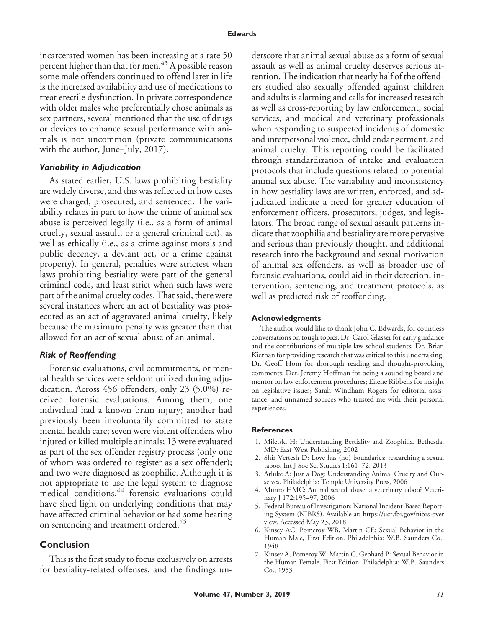incarcerated women has been increasing at a rate 50 percent higher than that for men.<sup>43</sup> A possible reason some male offenders continued to offend later in life is the increased availability and use of medications to treat erectile dysfunction. In private correspondence with older males who preferentially chose animals as sex partners, several mentioned that the use of drugs or devices to enhance sexual performance with animals is not uncommon (private communications with the author, June–July, 2017).

## *Variability in Adjudication*

As stated earlier, U.S. laws prohibiting bestiality are widely diverse, and this was reflected in how cases were charged, prosecuted, and sentenced. The variability relates in part to how the crime of animal sex abuse is perceived legally (i.e., as a form of animal cruelty, sexual assault, or a general criminal act), as well as ethically (i.e., as a crime against morals and public decency, a deviant act, or a crime against property). In general, penalties were strictest when laws prohibiting bestiality were part of the general criminal code, and least strict when such laws were part of the animal cruelty codes. That said, there were several instances where an act of bestiality was prosecuted as an act of aggravated animal cruelty, likely because the maximum penalty was greater than that allowed for an act of sexual abuse of an animal.

# *Risk of Reoffending*

Forensic evaluations, civil commitments, or mental health services were seldom utilized during adjudication. Across 456 offenders, only 23 (5.0%) received forensic evaluations. Among them, one individual had a known brain injury; another had previously been involuntarily committed to state mental health care; seven were violent offenders who injured or killed multiple animals; 13 were evaluated as part of the sex offender registry process (only one of whom was ordered to register as a sex offender); and two were diagnosed as zoophilic. Although it is not appropriate to use the legal system to diagnose medical conditions,<sup>44</sup> forensic evaluations could have shed light on underlying conditions that may have affected criminal behavior or had some bearing on sentencing and treatment ordered.<sup>45</sup>

# **Conclusion**

This is the first study to focus exclusively on arrests for bestiality-related offenses, and the findings underscore that animal sexual abuse as a form of sexual assault as well as animal cruelty deserves serious attention. The indication that nearly half of the offenders studied also sexually offended against children and adults is alarming and calls for increased research as well as cross-reporting by law enforcement, social services, and medical and veterinary professionals when responding to suspected incidents of domestic and interpersonal violence, child endangerment, and animal cruelty. This reporting could be facilitated through standardization of intake and evaluation protocols that include questions related to potential animal sex abuse. The variability and inconsistency in how bestiality laws are written, enforced, and adjudicated indicate a need for greater education of enforcement officers, prosecutors, judges, and legislators. The broad range of sexual assault patterns indicate that zoophilia and bestiality are more pervasive and serious than previously thought, and additional research into the background and sexual motivation of animal sex offenders, as well as broader use of forensic evaluations, could aid in their detection, intervention, sentencing, and treatment protocols, as well as predicted risk of reoffending.

#### **Acknowledgments**

The author would like to thank John C. Edwards, for countless conversations on tough topics; Dr. Carol Glasser for early guidance and the contributions of multiple law school students; Dr. Brian Kiernan for providing research that was critical to this undertaking; Dr. Geoff Hom for thorough reading and thought-provoking comments; Det. Jeremy Hoffman for being a sounding board and mentor on law enforcement procedures; Eilene Ribbens for insight on legislative issues; Sarah Windham Rogers for editorial assistance, and unnamed sources who trusted me with their personal experiences.

#### **References**

- 1. Miletski H: Understanding Bestiality and Zoophilia. Bethesda, MD: East-West Publishing, 2002
- 2. Shir-Vertesh D: Love has (no) boundaries: researching a sexual taboo. Int J Soc Sci Studies 1:161–72, 2013
- 3. Arluke A: Just a Dog: Understanding Animal Cruelty and Ourselves. Philadelphia: Temple University Press, 2006
- 4. Munro HMC: Animal sexual abuse: a veterinary taboo? Veterinary J 172:195–97, 2006
- 5. Federal Bureau of Investigation: National Incident-Based Reporting System (NIBRS). Available at: [https://ucr.fbi.gov/nibrs-over](https://ucr.fbi.gov/nibrs-overview) [view.](https://ucr.fbi.gov/nibrs-overview) Accessed May 23, 2018
- 6. Kinsey AC, Pomeroy WB, Martin CE: Sexual Behavior in the Human Male, First Edition. Philadelphia: W.B. Saunders Co., 1948
- 7. Kinsey A, Pomeroy W, Martin C, Gebhard P: Sexual Behavior in the Human Female, First Edition. Philadelphia: W.B. Saunders Co., 1953